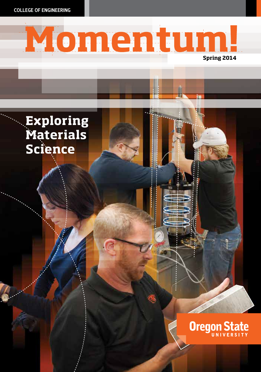COLLEGE OF ENGINEERING



**Oregon State** 

# **Exploring Materials Science**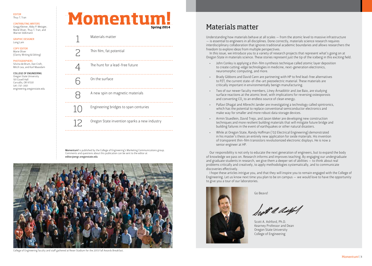EDITOR Thuy T. Tran

CONTRIBUTING WRITERS Gregg Kleiner, Abby P. Metzger, Marie Oliver, Thuy T. Tran, and Warren Volkmann

GRAPHIC DESIGNER Long Lam

COPY EDITOR Marie Oliver (Clarity Writing & Editing)

PHOTOGRAPHERS Silvina de Brum, Dan Croft, Mitch Lea, and Karl Maasdam

COLLEGE OF ENGINEERING Oregon State University 101 Covell Hall Corvallis, OR 97331 541-737-3101

engineering.oregonstate.edu



Materials matter 1 Thin film, fat potential The hunt for a lead-free future  $\Delta$ On the surface 6 <u>\_\_\_\_\_\_\_\_\_\_\_\_\_</u> 8 A new spin on magnetic materials 10 Engineering bridges to span centuries Oregon State invention sparks a new industry 

Momentum! is published by the College of Engineering's Marketing Communications group. Comments and questions about this publication can be sent to the editor at editor@engr.oregonstate.edu



College of Engineering faculty and staff gathered at Reser Stadium for the 2013 Fall Awards Breakfast.

# Materials matter

Understanding how materials behave at all scales — from the atomic level to massive infrastructure — is essential to engineers in all disciplines. Done correctly, materials science research requires interdisciplinary collaboration that ignores traditional academic boundaries and allows researchers the freedom to explore ideas from multiple perspectives.

In this issue, we introduce you to a variety of research projects that represent what's going on at Oregon State in materials science. These stories represent just the tip of the iceberg in this exciting field.

- John Conley is applying a thin-film synthesis technique called atomic layer deposition to create cutting-edge technologies in medicine, next-generation electronics, neuromorphic computing, and more.
- Brady Gibbons and David Cann are partnering with HP to find lead-free alternatives to PZT, the current state-of-the-art piezoelectric material. These materials are critically important in environmentally benign manufacturing.
- Two of our newer faculty members, Líney Árnadóttir and Joe Baio, are studying surface reactions at the atomic level, with implications for reversing osteoporosis and converting CO<sub>2</sub> to an endless source of clean energy.
- Pallavi Dhagat and Albrecht Jander are investigating a technology called spintronics, which has the potential to replace conventional semiconductor electronics and make way for smaller and more robust data storage devices.
- Armin Stuedlein, David Trejo, and Jason Ideker are developing new construction techniques and more resilient building materials that will mitigate future bridge and building failures in the event of earthquakes or other natural disasters.
- While at Oregon State, Randy Hoffman ('02 Electrical Engineering) demonstrated in his master's thesis an entirely new application for oxide materials. His invention of transparent thin-film transistors revolutionized electronic displays. He is now a senior engineer at HP.

Our responsibility is not only to educate the next generation of engineers, but to expand the body of knowledge we pass on. Research informs and improves teaching. By engaging our undergraduate and graduate students in research, we give them a deeper set of abilities — to think about real problems critically and creatively, to apply methodologies systematically, and to communicate discoveries effectively.

I hope these articles intrigue you, and that they will inspire you to remain engaged with the College of Engineering. Let us know next time you plan to be on campus — we would love to have the opportunity to give you a tour of our laboratories.



Go Beavs!

Swith a deeped

Scott A. Ashford, Ph.D. Kearney Professor and Dean Oregon State University College of Engineering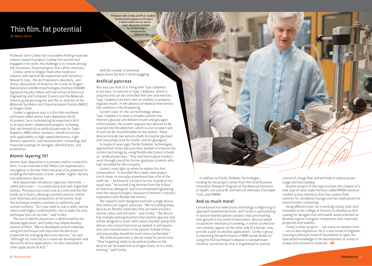# Thin film, fat potential *By Marie Oliver*

Professor John Conley and Ph.D. student Dustin Austin prepare to introduce a silicon wafer into an atomic layer deposition chamber for synthesizing a nanolaminate dielectric film.

Professor John Conley has no problem finding materials science research projects to keep him excited and engaged in his work. His challenge is to choose among the numerous, diverse projects that call for attention.

Conley came to Oregon State after extensive industry and national lab experience with Dynamics Research Corp., the Jet Propulsion Laboratory, and Sharp Laboratories of America. He is now an Oregon Nanoscience and Microtechnologies Institute (ONAMI) Signature Faculty Fellow with the School of Electrical Engineering and Computer Science and the Materials Science graduate program and the co-director of the Materials Synthesis and Characterization Facility (MASC) at Oregon State.

Conley's signature area is a thin-film synthesis technique called atomic layer deposition (ALD). At present, he is contributing his expertise in ALD to at least seven collaborative projects, including (but not limited to) an artificial pancreas for Type 1 diabetics; MIM (metal-insulator-metal) structures with applicability to high-speed electronics, highdensity capacitors, and neuromorphic computing; and improved coatings for aerogels, dental braces, and prosthetics.

## Atomic layering 101

Atomic layer deposition is a process used to create thin films. It was invented in the 1960s, but experienced a resurgence in the late 1990s because of its potential for enabling the fabrication of ever-smaller, higher-density microelectronic devices.

ALD sequentially introduces vaporous chemicals called precursors — in a meticulous and well-organized fashion. The precursors react one at a time and the film builds up in layers, allowing scientists precise control over thickness and composition at the atomic level. The technique enables scientists to uniformly coat uneven surfaces. "So if you need to coat a really narrow trench with highly conformal film, this is really the only technique that can do that," said Conley.

The use of specific precursors is determined by the desired application, and Conley has helped develop several of them. "We've developed several materials using this technique and improved the electrical properties for emerging electronic devices," he said. "Although my main focus is materials development and electronic device applications, I'm also interested in other applications of ALD."

And the number of potential applications for ALD is mind-boggling.

## Artificial pancreas

Any way you look at it, living with Type 1 diabetes is not easy. In contrast to Type 2 diabetes, which is acquired and can be controlled with diet and exercise, Type 1 diabetics are born with an inability to properly regulate insulin. In the absence of medical intervention, the condition is life threatening.

Current state-of-the-art technology allows Type 1 diabetics to wear a complex system that monitors glucose and delivers insulin and glucagon. Unfortunately, the system requires four devices to be inserted into the abdomen, which is a lot to keep track of and can be uncomfortable for the wearer. These devices include two sensors (both to monitor glucose) and two pumps (one for insulin, one for glucagon).

A couple of years ago, Pacific Diabetes Technologies approached Conley because they wanted to improve the current technology by using flexible electronics to build an "artificial pancreas." They had heard about Conley's work through one of his former graduate students who had consulted for the company.

Conley's eyes light up when he relates this first conversation. "It sounded like a really neat project, much closer to everyday experience than a lot of the stuff I do — and kind of a stretch for me, outside of my usual area." He invited Greg Herman from the School of Chemical, Biological, and Environmental Engineering onto the research project, because of Herman's industry experience with flexible electronics.

The research team designed and built a single device that mimics an organic pancreas. "We're building these devices on flexible substrates that can bend around a narrow radius and still work," said Conley. "The device has multiple sensing locations that monitor glucose and will be designed to work with a dual chamber pump that delivers the correct hormone as needed. It will require only one insertion point in the patient instead of four, and presumably should be much more comfortable."

The artificial pancreas is almost ready for prime time. "They're getting ready to do animal studies on the devices we've made here at Oregon State, so it's really exciting," said Conley.

In addition to Pacific Diabetes Technologies, funding for the project comes from the Small Business Innovation Research Program at the National Institutes of Health, the Leona M. and Harry B. Helmsley Charitable Trust, and ONAMI.

# And so much more!

Conventional microelectronic technology is beginning to approach fundamental limits, and Conley is participating in several interdisciplinary projects that are breaking new ground in the world of electronics. Devices based on quantum mechanical tunneling, in which an electron can instantly appear on the other side of a barrier, may provide a path to ultrafast applications. Conley's group is improving the performance of MIM tunnel diodes by using the ALD technique to deposit a nanolaminate insulator tunnel barrier that is engineered for precise

control of charge flow and will help to reduce power usage and heat buildup.

Another project of this type involves the creation of a new type of solid-state memory called RRAM (resistive random access memory) that may replace flash memory for ultradense storage and has implications for neuromorphic computing.

Along different lines, he is working closely with John Simonsen in the College of Forestry to develop an ALD coating for aerogels that will enable wood scientists to develop organic/inorganic composites with improved properties and stability.

Conley's other projects — too many to mention here — are no less impressive. He is a new brand of engineer, crossing traditional research boundaries to apply his specialized knowledge in the development of a host of unique and innovative materials. M!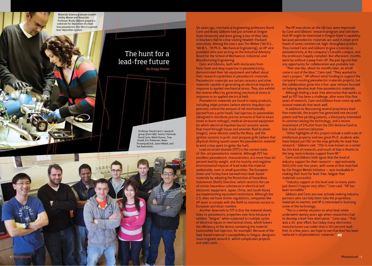Materials Science graduate student Ashley Mason and Associate Professor Brady Gibbons prepare a substrate for deposition of a leadfree piezoelectric thin film in a pulsed laser deposition system.

# The hunt for a lead-free future

*By Gregg Kleiner*

Professor David Cann's research group *(from left)*: Sunny Triamnak, David Cann, Nitish Kumar, Troy Ansell, Eric Patterson, Noon Prasertpalichat, Jason Nikkel, and Ton Raensthon.



Six years ago, mechanical engineering professors David Cann and Brady Gibbons had just arrived at Oregon State University and were giving a tour of their labs in Dearborn Hall to a few visiting Hewlett-Packard executives. Among the execs was Tim Weber ('86 B.S., '88 M.S., '91 Ph.D., Mechanical Engineering), an HP vice president who was serving on the Industrial Advisory Board for the School of Mechanical, Industrial, and Manufacturing Engineering.

Cann and Gibbons, both with doctorates from Penn State and deep expertise in piezoelectricity, demonstrated their lab equipment and talked about their research capabilities in piezoelectric materials. Piezoelectric materials are certain ceramics and other materials capable of generating an electrical impulse in response to applied mechanical stress. They also exhibit the reverse effect by generating mechanical stress in response to an applied electrical field.

Piezoelectric materials are found in many products, including inkjet printers (where electric impulses can precisely control the amount of ink mechanically ejected from a print head), fuel injectors in automobiles (designed to distribute precise amounts of fuel at exact times to boost mileage), medical ultrasound equipment (in which electrical impulses launch acoustic waves that travel through tissue and amniotic fluid to attain images), sonar devices used by the Navy, and the ignition systems in push-start propane grills (where that physical clicking sound causes the piezoelectric material to emit a tiny spark to ignite the fuel).

Lead zirconate titanate (PZT) is the current stateof-the-art piezoelectric material. Although PZT has excellent piezoelectric characteristics, it is more than 60 percent lead by weight, and the toxicity and negative environmental impacts of lead make the material undesirable, even in small quantities. The European Union and Turkey have banned most lead-based materials by adopting the Restriction of Hazardous Substances (RoHS) Directive, which restricts the use of certain hazardous substances in electrical and electronic equipment. Japan, China, and South Korea are implementing equivalent restrictions. Although the U.S. does not have similar regulations, companies like HP want to comply with the RoHS to maintain access to European and Asian markets.

Another downside to PZT is that the material slowly loses its piezoelectric properties over time because it exhibits "fatigue" when subjected to multiple cycles of electrical inputs or mechanical stress, which lowers the efficiency of the device containing the material (automobile fuel injectors, for example). Because of the lead-based material's susceptibility to fatigue, designers must engineer around it, which complicates projects and adds costs.

The HP executives on the lab tour were impressed by Cann and Gibbons' research program and told them that HP might be interested in Oregon State's capability, because piezoelectric materials are used in inkjet print heads of some commercial, high-throughput printers. They invited Cann and Gibbons to give a tutorial on piezoelectricity at the company's Corvallis campus, and the professors happily complied. But afterward, months went by without a peep from HP. The pair figured that any opportunity for collaboration was probably lost.

"Then one day, about six months later, an email came in out of the blue," Cann said. "They wanted to start a project." HP offered initial funding to support the company's existing piezoelectric materials projects, but the collaboration grew into a five-year venture focused on helping develop lead-free piezoelectric materials.

Although finding a lead-free alternative that works as well as PZT has been a challenge, after more than five years of research, Cann and Gibbons have come up with several materials that work well.

In addition to discovering several proprietary leadfree materials, the project has generated one secured patent and five pending patents, a third party interested in commercializing the technology, and a recent investment of \$75,000 from the OSU Venture Fund to fast-track commercialization.

"Other highlights of this project include a solid suite of intellectual property and two great Ph.D. students who have helped put OSU on the map globally for lead-free research," Gibbons said. "OSU is now known as a center for this kind of research, and much of that is thanks to the long-term industry support from HP."

Cann and Gibbons both agree that the level of industry support for their research — approximately \$650,000 over five years, with some of that matched by the Oregon Metals Initiative — was invaluable in making their hunt for lead-free, fatigue-free materials successful.

"Industry support at this level over so many years just doesn't happen very often," Cann said. "HP has been incredible."

Gibbons and Cann are now actively seeking industry partners who can help them take the proprietary materials to market, and HP is interested in licensing some of the technology.

"This is a similar situation to what lead solder underwent twenty years ago when researchers had to develop a lead-free alternative," Cann says. "That was a 20-year effort, but today many electronics manufacturers use solder that is 100 percent leadfree. In a few years, we hope to see that lead has been replaced in all piezoelectric materials." M!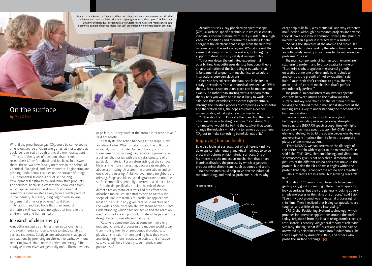Top: Assistant Professor Líney Árnadóttir describes the interaction between an adsorbed molecule and a surface defect site to first-year graduate student Lynza C. Halberstadt. Bottom: Undergraduate student Malayla Gessford and Assistant Professor Joe Baio examine a sample of nanoparticles that self-assembled by biomineralization proteins.

On the surface *By Thuy T. Tran*

What if the greenhouse gas, CO<sub>2</sub>, could be converted to an endless source of clean energy? What if osteoporosis could be reversed through artificial biomineralization?

These are the types of questions that interest researchers Líney Árnadóttir and Joe Baio. To answer them, these two new faculty members in the School of Chemical, Biological, and Environmental Engineering are probing fundamental realities on the surface of things.

Fundamental science is critical in the long developmental pathway toward innovative products and services, because it creates the knowledge from which applied research is drawn. "Fundamental research is a million steps away from a viable product in the industry, but everything begins with solving fundamental physics problems," said Baio.

Árnadóttir and Baio hope that their research ultimately will lead to technologies that improve the environment and human health.

#### In search of clean energy

Árnadóttir uniquely combines theoretical chemistry and experimental surface science to study catalytic surface reactions. Catalysts are substances that speed up reactions by providing an alternative pathway — one requiring lower-than-normal activation energy. "The catalysts themselves are generally nonuniform powders

or pellets, but they work at the atomic interaction level," said Árnadóttir.

In catalysts, the action happens at the steps, kinks, and defect sites. When an atom sits in the bulk of a material, it is surrounded by neighboring atoms in all three dimensions in a regular, repeated symmetry a pattern that varies with the crystal structure of a particular material. For an atom sitting at the surface, life is a little more interesting, because its neighbors above are missing. At a step, the atoms above and on one side are missing. At kinks, even more neighbors are missing. Steps and kinks (see diagram) are among the surface anomalies generally referred to as defect sites.

Árnadóttir specifically studies the role of these defect sites on metal catalysts and the effect of coadsorbed molecules. Her studies help to narrow the scope of usable materials for particular applications. Most of the bulk in any given catalyst is inactive and the work is done by relatively few atoms at the surface. Understanding which sites are active and the reaction mechanisms for each particular material helps scientists design better, more efficient catalysts.

"Catalysts come into play at some point in every industrial chemical process in the modern world today, from making fuel, to pharmaceutical products, to plastics," she said. "Understanding how they work, and designing more reactive, selective, and effective catalysts, will help industry save materials and pollute less."

Árnadóttir uses x-ray phoelectron spectroscopy (XPS), a surface-specific technique in which scientists irradiate a chosen material with x-rays under ultra-high vacuum conditions and measure the resulting kinetic energy of the electrons that escape from the first few nanometers of the surface region. XPS data reveal the elemental composition of the surface, including the support material and any catalyst nanoparticles.

. .<br><u>To narrow d</u>own the unlimited experimental possibilities, Árnadóttir uses density functional theory, an approximation of the Schrödinger equation that is fundamental to quantum mechanics, to calculate interactions between electrons.

Once she has collected the data, she looks first at catalytic reactions from a theoretical perspective. "With theory, how a reaction takes place can be mapped out exactly. So rather than starting with a random metal, theory tells you which one is most likely to work," she said. She then examines the system experimentally. Through the iterative process of comparing experimental and theoretical data, she hopes to reach a deeper understanding of catalytic reaction mechanisms.

"In the short term, I'd really like to explain the role of alkali metals in activating reactions," said Árnadóttir. "Ultimately, I would like to find the catalyst that would change the industry — not only to remove atmospheric CO $_{\textrm{\tiny{2}}}$ , but to make something beneficial out of it."

## Improving human health

Baio also looks at surfaces, but of a different kind. He develops complementary analytical methods to solve protein structures on biomaterial surfaces. One of his interests is the molecular mechanism that drives biomineralization, the process by which organisms produce mineralized tissue, such as bones and teeth. Baio's research could help solve diverse industrial, manufacturing, and medical problems, such as why



cargo ship hulls foul, why stents fail, and why catheters malfunction. Although his research projects are diverse, they all have one idea in common: solving the structure involved when a protein interacts with a surface.

"Solving the structure at the atomic and molecular levels leads to understanding the interaction mechanism and ultimately arriving at solutions to the macro-scale problems," he said.

The main components of human tooth enamel are statherin (a protein) and hydroxyapatite (a mineral). "Statherin is what regulates the enamel growth on teeth, but no one understands how it binds to and controls the growth of hydroxyapatite," said Baio. "Your teeth don't continue to grow. There's an on-and-off control mechanism that's perfect evolutionarily perfect."

The protein-mineral interaction involves specific contacts between atoms on the hydroxyapatite surface and key side chains on the statherin protein. Solving the detailed three-dimensional structure at the binding sites is key to understanding the mechanism of biomineralization.

Baio combines a suite of surface analytical techniques, including near-edge x-ray absorption fine structure (NEXAFS) spectroscopy, time-of-flight secondary ion mass spectroscopy (ToF-SIMS), and element labeling, to build the puzzle pieces one-by-one and eventually interlock them to form the complete picture of biomineralization.

"From NEXAFS, we can determine the tilt angle of the entire protein with respect to the mineral surface," said Baio. "ToF-SIMS, element labeling, and vibrational spectroscopy give us not only three-dimensional pictures of the different amino acids that make up the protein, but also the tilt and twist angles within the protein that help us connect the amino acids together."

Baio's interests are in a small but growing research field.

"For about 100 years now, physicists have been getting very good at creating different techniques to look at surfaces, but they are generally looking at very simple molecules or thin films on surfaces," said Baio. "Even my background was in material processing for thin films. Then, I realized that biological questions are tougher, and a little bit more interesting."

GPS (Global Positioning System) technology, which provides innumerable applications around the world today, originated from the idea of using atomic clocks to test Einstein's century-old general theory of relativity. Similarly, the big "what if?" questions will one day be answered by scientific research into fundamentals like those explored by Árnadóttir, Baio, and others who probe the surface of things. M!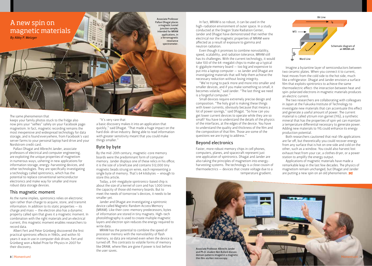

#### The same phenomenon that

keeps your family photos stuck to the fridge also now pins your "selfies" safely on your Facebook page: magnetism. In fact, magnetic recording remains the most inexpensive and widespread technology for data storage, and is found everywhere, from Facebook's vast server farms to your personal laptop hard drive and your Nordstrom credit card.

Pallavi Dhagat and Albrecht Jander, associate professors of electrical and computer engineering, are exploiting the unique properties of magnetism in numerous ways, ushering in new applications for information storage, energy-harvesting devices, and other technologies. They are specifically investigating a technology called spintronics, which has the potential to replace conventional semiconductor electronics and make way for smaller and more robust data storage devices.

#### This magnetic moment

As the name implies, spintronics relies on electronic spin rather than charge to acquire, store, and transmit information. In addition to its static properties — its charge and mass — the electron also has a dynamic property called spin that gives it a magnetic moment. In combination with the right materials and an electrical current, this magnetic moment enables researchers to record data.

Albert Fert and Peter Grünberg discovered the first practical spintronic effects in 1980s, and within 10 years it was in use in computer disk drives. Fert and Grünberg won a Nobel Prize for Physics in 2007 for their discovery.

"It's very rare that

a basic discovery makes it into an application that quickly," said Dhagat. "That made a huge impact on the hard disk-drive industry. Being able to read information with greater sensitivity meant that you could make things smaller."

# Byte by byte

By the mid-20th century, magnetic-core memory boards were the predominant form of computer memory. Jander displays one of these relics in his office; it is the size of a briefcase and contains 512,000 tiny magnetic beads strung on wires, each representing a single byte of memory. That's 64 kilobytes — enough to store this article.

Today, a 64-megabyte spintronics-based chip is about the size of a kernel of corn and has 1,000 times the capacity of those old memory boards. But to meet the needs of tomorrow's devices, it needs to be smaller yet.

Jander and Dhagat are investigating a spintronic device called Magnetic Random Access Memory (MRAM). Like their core-memory predecessors, bytes of information are stored in tiny magnets. High-tech photolithography is used to create multiple magnetic layers and electron spin reduces the energy required to write data.

MRAM has the potential to combine the speed of processor memory with the nonvolatility of flash memory, so data are retained even when the device is turned off. This contrasts to volatile forms of memory like DRAM, where files are gone if power is lost before the user saves.

In fact, MRAM is so robust, it can be used in the high-radiation environment of outer space. In a study conducted at the Oregon State Radiation Center, Jander and Dhagat have demonstrated that neither the electrical nor the magnetic properties of MRAM were affected as a result of exposure to gamma and neutron radiation.

Even though it promises to combine nonvolatility, speed, scalability, and radiation tolerance, MRAM still has its challenges. With the current technology, it would take 100 of the 64-megabit chips to make up a typical 6-gigabyte memory board — too big and expensive to put into a laptop computer — so Jander and Dhagat are investigating materials that will help them achieve the necessary reduction without losing integrity.

"We're trying to pack more and more into smaller and smaller devices, and if you make something so small, it becomes volatile," said Jander. "The last thing we need is a forgetful computer."

Small devices require extremely precise design and composition. "The holy grail is making these things with lower currents, obviously because that means a lot of power savings," said Dhagat. "So how can you get lower current devices to operate while they are so small? You have to understand the details of the physics of the interfaces, at the edges of the device. You have to understand the quality and thickness of the film and the composition of that film. Those are some of the questions we are trying to address."

## Beyond electronics

Faster, more robust memory chips in cell phones, computers, planes, and spacecraft represent just one application of spintronics. Dhagat and Jander are also taking the principles of magnetism into energyharvesting systems. The technology is a close cousin of thermoelectrics — devices that create voltage due to a temperature gradient.



Imagine a byzantine layer of semiconductors between two ceramic plates. When you connect it to current, heat moves from the cold side to the hot side, much like a refrigerator. Dhagat and Jander envision a surface film that exploits spintronics to achieve the same thermoelectric effect: the interaction between heat and spin-polarized electrons in magnetic materials produces an electric current.

The two researchers are collaborating with colleagues in Japan at the Fukuoka Institute of Technology to investigate new materials that can accentuate this effect and generate a useful amount of power. The current material is called yttrium iron garnet (YIG), a synthetic mineral that has the properties of spin yet can maintain a temperature differential necessary to generate power. Adding new materials to YIG could enhance its energy production potential.

Both researchers cautioned that real-life applications are far off, but theoretically you could recover energy from any surface that is hot on one side and cold on the other, such as a window. You could also harvest lost exhaust heat from your car, a clothes dryer, or a power station to amplify the energy output.

Applications of magnetic materials have made a remarkable leap in the last few decades. The physics of magnetism remain unchanged, but Dhagat and Jander are putting a new spin on an old phenomenon.  $M!$ 

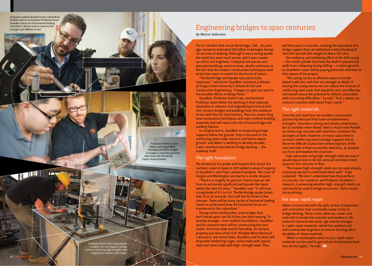Graduate students Rachel Fischer and Andrew Strahler look on as Assistant Professor Armin Stuedlein places an instrumented loading rod within a device used to measure the strength and stiffness of soil.

> Ideker and Oregon BEST Postdoctoral Fellow Tengfei Fu inspect a concrete specimen taken from the Scientemp freeze-thaw chamber.

Assistant Professor Jason

**Stationary** 

Professor David Trejo and graduate student Tim Link inspect a bridge column containing high strength steel subjected to seismic cyclic loads.

# Engineering bridges to span centuries

*By Warren Volkmann*

The 6.7 temblor that struck Northridge, Calif., 20 years ago caused an estimated \$20 billion in damages during 20 seconds of shaking. Although it was a strong quake, the world has seen much worse, and it was a wakeup call to civil engineers. Collapsed overpasses and pancaked buildings stood as mute, deadly testimony to the fact that the modern construction techniques used at the time were no match for the forces of nature.

"The Northridge earthquake was particularly important," said Armin Stuedlein, assistant professor at Oregon State University's School of Civil and Construction Engineering. "It began to open our eyes to the possible effects of design flaws."

Stuedlein, Professor David Trejo, and Assistant Professor Jason Ideker are working in their separate specialties to advance civil engineering to ensure that 21st-century bridges and buildings have the resilience to last well into the 22nd century. They are researching new construction techniques and more resilient building materials that will reduce the risk of future bridge and building failures.

In simplest terms, Stuedlein is researching bridge supports below the ground, Trejo is focused on the reinforcing steel inside columns and beams above ground, and Ideker is working to develop durable, crack-resistent concrete for bridge decking — the roadway itself.

#### The right foundation

The disastrous 9.0 quake and tsunami that struck the northern coast of Japan in 2011 added a sense of urgency to Stuedlein's and Trejo's research projects. The coast of Oregon and Washington are due for a similar disaster.

"There is a roughly 40 percent chance that we will have an extremely significant earthquake like Japan within the next 50 years," Stuedlein said. "It will have a magnitude of 8.5 to 9.0. The Northridge quake lasted only 10 to 20 seconds. Ours will last for three to five minutes. There will be many cycles of horizontal loading. I want to understand how the horizontal forces are transferred to the subsurface."

During severe earthquakes, even bridges that don't break apart can fail if they lose their bearing. To develop stronger, more resilient foundations. Stuedlein and his research team will be constructing four test shafts, three feet wide and 60 feet deep, on campus property just west of the O.H. Hinsdale Wave Research Laboratory. Into those holes, Stuedlein and his team will drop steel reinforcing cages, some made with typical steel and some made with high-strength steel. They

will then pour in concrete, creating the equivalent of a bridge support that can withstand a lateral loading of 300,000 pounds (the weight of about 125 cars).

The resilience and stabilizing effect of the drill casing — the metal cylinder that lines the shaft to prevent the walls from collapsing during drilling – is often ignored, so Stuedlein's team will be paying particular attention to that aspect of the project.

"The casing can be an effective way to transfer lateral loads into soils that are stronger at depth. If leaving the casing means we can reduce the amount of reinforcing steel used, that would be very cost effective, and would reduce the potential for defects associated with concreting difficulties," he said. "That's where my research connects with David Trejo's work."

### The right materials

Concrete and steel form an excellent construction partnership because they have complementary strengths. Concrete is strong and resists compression, but it crumbles when flexed. Steel is much more flexible, so reinforcing concrete with steel bars combines the strengths of both. However, in many cases there is so much reinforcing steel in bridge supports that it becomes difficult to place the reinforcing bars. If the concrete fails to flow around the steel bars, air pockets can form and weaken the structure.

Trejo advocates using high-strength steel because it would require less to do the same job and leave more space for the concrete to flow.

"The reason high-strength steels are not used already is because we don't understand them well," Trejo explained. "We don't understand how they perform in concrete. Our research, and Professor Stuedlein's research, is assessing whether high-strength steels can and should be used in bridge structures." Early results are promising.

#### For now: rapid repair

Ideker is concerned with the daily strains of expansion and contraction that continually cause cracks in bridge decking. These cracks allow air, water, and road salt to invade the concrete and weaken it. His research characterizes early-age volume changes in rapid-repair materials, which has enabled civil and construction engineers to ensure the long-term durability of those materials.

"When a catastrophic event occurs, rapid-repair materials can be used to get critical infrastructure back into service again," he said.  $M!$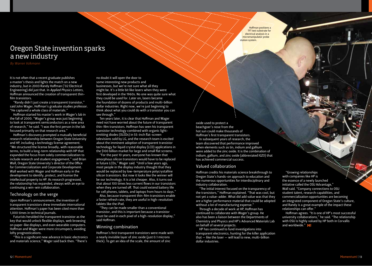# Oregon State invention sparks a new industry

It is not often that a recent graduate publishes a master's thesis and lights the match on a new industry, but in 2003 Randy Hoffman ('02 Electrical Engineering) did just that. In *Applied Physics Letters*, Hoffman announced the creation of transparent thinfilm transistors.

"Randy didn't just create a transparent transistor," said John Wager, Hoffman's graduate studies professor. "He captured a whole class of materials."

Hoffman started his master's work in Wager's lab in the fall of 2000. "Wager's group was just beginning to look at transparent semiconductors as a new area of research," he said. "I was the first person in the lab focused primarily on that research area."

Hoffman's discovery prompted a mutually beneficial research relationship between Oregon State University and HP, including a technology license agreement. "We structured the license broadly, with reasonable terms, to build a long-term relationship with HP that expanded the focus from solely commercialization to include research and student engagement," said Brian Wall, Oregon State University's director of the Office for Commercialization and Corporate Development. Wall worked with Wager and Hoffman early in the development to identify, protect, and license the intellectual property to HP. As research progressed, the relationship has expanded, always with an eye to continuing a win-win collaboration.

# Technology on the verge

Upon Hoffman's announcement, the invention of transparent transistors drew immediate international attention. Hoffman's paper has been cited more than 1,000 times in technical journals.

Futurists heralded the transparent transistor as the key that would unlock flexible displays, web browsing on paper-like displays, and even wearable computers. Hoffman and Wager were more circumspect, avoiding lofty prognostications.

"This is a significant new advance in basic electronics and materials science," Wager said back then. "There's

no doubt it will open the door to some interesting new products and businesses, but we're not sure what all they might be. It's a little bit like lasers when they were first developed in the 1960s. No one was quite sure what they could be used for. Later on, lasers became the foundation of dozens of products and multi-billion dollar industries. Right now, we're just beginning to think about what you could do with a transistor you can see through."

Ten years later, it is clear that Hoffman and Wager need not have worried about the future of transparent thin-film transistors. Hoffman has seen his transparent transistor technology combined with organic lightemitting diodes (OLEDs) in 55-inch flat-screen televisions sold by LG, and the research team is excited about the imminent adoption of transparent transistor technology for liquid crystal display (LCD) applications in the \$100 billion market for large and small flat screens.

"For the past 10 years, everyone has known that amorphous silicon transistors would have to be replaced in future LCDs," Wager said. "Until a few years ago, most people in the display industry thought that they would be replaced by low-temperature polycrystalline silicon transistors. But now it looks like the winner will be our technology. It is a lot cheaper. Also, it turns out that about 100 times less current flows in our transistors when they are turned off. That could extend battery life for cell phones, tablets, and laptops from hours to days."

Also, because transparent thin-film transistors enable a faster refresh rate, they are useful in high-resolution tablets like the iPad.

"They can be made smaller than a conventional transistor, and this is important because a transistor must be used in each pixel of a high-resolution display," said Hoffman.

#### Winning combination

Hoffman's first transparent transistors were made with a nearly invisible layer of zinc oxide (just 0.1 microns thick). To get an idea of the scale, the amount of zinc

Hoffman positions a TFT test substrate for electrical analysis in a micromanipulator probe station system.

oxide used to protect a beachgoer's nose from the hot sun could make thousands of Hoffman's first transparent transistors. In subsequent years of research, the team discovered that performance improved

when elements such as tin, indium and gallium were added to the zinc oxide. It is the combination of indium, gallium, and zinc oxide (abbreviated IGZO) that has achieved commercial success.

### Valued collaboration

Hoffman credits his materials science breakthrough to Oregon State's hands-on approach to education and the numerous opportunities for interdisciplinary and industry collaboration.

"The initial interest focused on the transparency of the transistors," Hoffman explained. "That was cool, but not yet a value-adder. What did add value was that they are a higher performance material that could be adopted without a lot of manufacturing expense."

Through a decade of work at HP, Hoffman has continued to collaborate with Wager's group. He also has been a liaison between the Departments of Chemistry and Physics and HP's Advanced Materials Lab on behalf of several projects.

HP has continued to fund investigations into transparent electronics, hunting for the killer application that  $-$  like the laser  $-$  will lead to new, multi-billion dollar industries.

"Growing relationships with companies like HP is the essence of a newly launched initiative called the OSU Advantage," Wall said. "Company connections to OSU student talent, research capabilities, and commercialization opportunities are becoming an integrated component of Oregon State's culture, and Randy is a great example of the impact these relationships can offer."

Hoffman agrees. "It is one of HP's most successful university collaborations," he said. "The relationship with OSU is highly valued by HP both in Corvallis and worldwide." MI